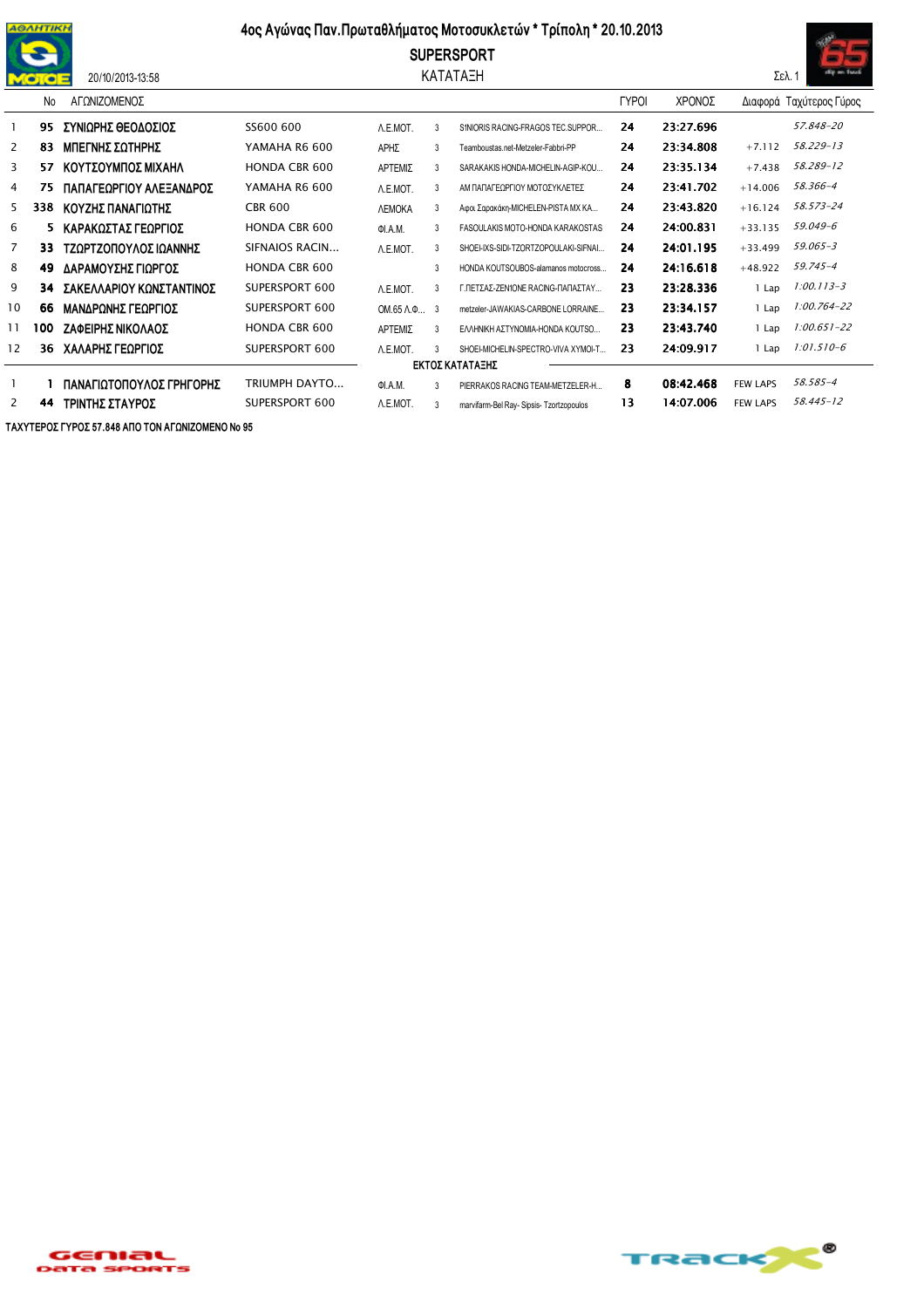

## 20/10/2013-13:58

## 4ος Αγώνας Παν. Πρωταθλήματος Μοτοσυκλετών \* Τρίπολη \* 20.10.2013

**SUPERSPORT** ΚΑΤΑΤΑΞΗ



|                 | No  | ΑΓΟΝΙΖΟΜΕΝΟΣ             |                      |                            |               |                                          | <b>TYPOI</b> | ΧΡΟΝΟΣ    |                 | Διαφορά Ταχύτερος Γύρος |  |  |
|-----------------|-----|--------------------------|----------------------|----------------------------|---------------|------------------------------------------|--------------|-----------|-----------------|-------------------------|--|--|
|                 | 95  | ΣΥΝΙΩΡΗΣ ΘΕΟΔΟΣΙΟΣ       | SS600 600            | A.E.MOT.                   | 3             | SINIORIS RACING-FRAGOS TEC SUPPOR        | 24           | 23:27.696 |                 | 57.848-20               |  |  |
| 2               | 83  | ΜΠΕΓΝΗΣ ΣΩΤΗΡΗΣ          | YAMAHA R6 600        | ΑΡΗΣ                       | 3             | Teamboustas.net-Metzeler-Fabbri-PP       | 24           | 23:34.808 | $+7.112$        | 58.229-13               |  |  |
| 3               | 57  | ΚΟΥΤΣΟΥΜΠΟΣ ΜΙΧΑΗΛ       | <b>HONDA CBR 600</b> | ΑΡΤΕΜΙΣ                    | 3             | SARAKAKIS HONDA-MICHELIN-AGIP-KOU        | 24           | 23:35.134 | $+7.438$        | 58.289-12               |  |  |
| 4               | 75  | ΠΑΠΑΓΕΩΡΓΙΟΥ ΑΛΕΞΑΝΔΡΟΣ  | YAMAHA R6 600        | A.E.MOT.                   | $\mathcal{R}$ | ΑΜ ΠΑΠΑΓΕΟΡΓΙΟΥ ΜΟΤΟΣΥΚΛΕΤΕΣ             | 24           | 23:41.702 | $+14.006$       | 58.366-4                |  |  |
| 5               | 338 | ΚΟΥΖΗΣ ΠΑΝΑΓΙΩΤΗΣ        | <b>CBR 600</b>       | <b><i>NEMOKA</i></b>       | 3             | Αφοι Σαρακάκη-MICHELEN-PISTA MX KA       | 24           | 23:43.820 | $+16.124$       | 58.573-24               |  |  |
| 6               | 5.  | ΚΑΡΑΚΩΣΤΑΣ ΓΕΩΡΓΙΟΣ      | <b>HONDA CBR 600</b> | ΦΙ.Α.Μ.                    | 3             | FASOULAKIS MOTO-HONDA KARAKOSTAS         | 24           | 24:00.831 | $+33.135$       | 59.049-6                |  |  |
| 7               | 33  | ΤΖΩΡΤΖΟΠΟΥΛΟΣ ΙΩΑΝΝΗΣ    | SIFNAIOS RACIN       | A.E.MOT.                   | 3             | SHOEI-IXS-SIDI-TZORTZOPOULAKI-SIFNAI     | 24           | 24:01.195 | $+33.499$       | 59.065-3                |  |  |
| 8               | 49  | ΔΑΡΑΜΟΥΣΗΣ ΓΙΩΡΓΟΣ       | <b>HONDA CBR 600</b> |                            | 3             | HONDA KOUTSOUBOS-alamanos motocross      | 24           | 24:16.618 | $+48.922$       | $59.745 - 4$            |  |  |
| 9               | 34  | ΣΑΚΕΛΛΑΡΙΟΥ ΚΩΝΣΤΑΝΤΙΝΟΣ | SUPERSPORT 600       | A.E.MOT.                   | 3             | Γ.ΠΕΤΣΑΣ-ΖΕΝΙΟΝΕ RACING-ΠΑΠΑΣΤΑΥ         | 23           | 23:28.336 | 1 Lap           | $1:00.113 - 3$          |  |  |
| 10              | 66  | ΜΑΝΔΡΩΝΗΣ ΓΕΩΡΓΙΟΣ       | SUPERSPORT 600       | $OM.65$ $\Lambda$ . $\Phi$ | -3            | metzeler-JAWAKIAS-CARBONE LORRAINE       | 23           | 23:34.157 | 1 Lap           | $1:00.764 - 22$         |  |  |
| 11              | 100 | ΖΑΦΕΙΡΗΣ ΝΙΚΟΛΑΟΣ        | <b>HONDA CBR 600</b> | ΑΡΤΕΜΙΣ                    | 3             | ΕΛΛΗΝΙΚΗ ΑΣΤΥΝΟΜΙΑ-ΗΟΝDΑ ΚΟUTSΟ          | 23           | 23:43.740 | 1 Lap           | $1:00.651 - 22$         |  |  |
| 12              | 36  | ΧΑΛΑΡΗΣ ΓΕΩΡΓΙΟΣ         | SUPERSPORT 600       | A.E.MOT.                   | 3             | SHOEI-MICHELIN-SPECTRO-VIVA XYMOI-T      | 23           | 24:09.917 | 1 Lap           | $1:01.510 - 6$          |  |  |
| ΕΚΤΟΣ ΚΑΤΑΤΑΞΗΣ |     |                          |                      |                            |               |                                          |              |           |                 |                         |  |  |
|                 |     | ΠΑΝΑΓΙΩΤΟΠΟΥΛΟΣ ΓΡΗΓΟΡΗΣ | TRIUMPH DAYTO        | ΦΙ.Α.Μ.                    | $\mathcal{R}$ | PIERRAKOS RACING TEAM-METZELER-H         | 8            | 08:42.468 | <b>FEW LAPS</b> | 58.585-4                |  |  |
| 2               | 44  | ΤΡΙΝΤΗΣ ΣΤΑΥΡΟΣ          | SUPERSPORT 600       | A.E.MOT.                   | 3             | marvifarm-Bel Ray- Sipsis- Tzortzopoulos | 13           | 14:07.006 | <b>FEW LAPS</b> | 58.445-12               |  |  |

ΤΑΧΥΤΕΡΟΣ ΓΥΡΟΣ 57.848 ΑΠΟ ΤΟΝ ΑΓΩΝΙΖΟΜΕΝΟ Νο 95